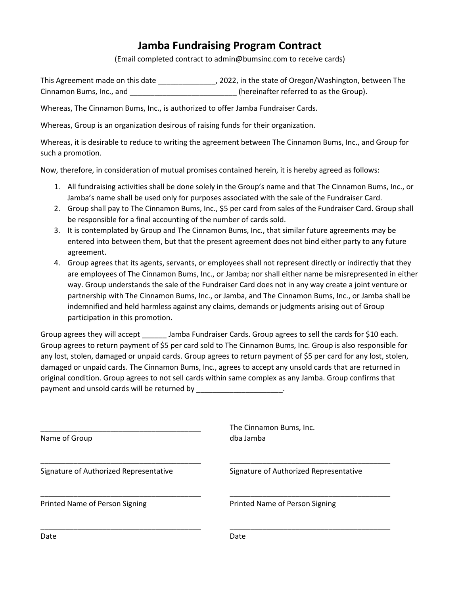## **Jamba Fundraising Program Contract**

(Email completed contract to admin@bumsinc.com to receive cards)

This Agreement made on this date \_\_\_\_\_\_\_\_\_\_\_\_\_\_, 2022, in the state of Oregon/Washington, between The Cinnamon Bums, Inc., and \_\_\_\_\_\_\_\_\_\_\_\_\_\_\_\_\_\_\_\_\_\_\_\_\_\_ (hereinafter referred to as the Group).

Whereas, The Cinnamon Bums, Inc., is authorized to offer Jamba Fundraiser Cards.

Whereas, Group is an organization desirous of raising funds for their organization.

Whereas, it is desirable to reduce to writing the agreement between The Cinnamon Bums, Inc., and Group for such a promotion.

Now, therefore, in consideration of mutual promises contained herein, it is hereby agreed as follows:

- 1. All fundraising activities shall be done solely in the Group's name and that The Cinnamon Bums, Inc., or Jamba's name shall be used only for purposes associated with the sale of the Fundraiser Card.
- 2. Group shall pay to The Cinnamon Bums, Inc., \$5 per card from sales of the Fundraiser Card. Group shall be responsible for a final accounting of the number of cards sold.
- 3. It is contemplated by Group and The Cinnamon Bums, Inc., that similar future agreements may be entered into between them, but that the present agreement does not bind either party to any future agreement.
- 4. Group agrees that its agents, servants, or employees shall not represent directly or indirectly that they are employees of The Cinnamon Bums, Inc., or Jamba; nor shall either name be misrepresented in either way. Group understands the sale of the Fundraiser Card does not in any way create a joint venture or partnership with The Cinnamon Bums, Inc., or Jamba, and The Cinnamon Bums, Inc., or Jamba shall be indemnified and held harmless against any claims, demands or judgments arising out of Group participation in this promotion.

Group agrees they will accept \_\_\_\_\_\_\_ Jamba Fundraiser Cards. Group agrees to sell the cards for \$10 each. Group agrees to return payment of \$5 per card sold to The Cinnamon Bums, Inc. Group is also responsible for any lost, stolen, damaged or unpaid cards. Group agrees to return payment of \$5 per card for any lost, stolen, damaged or unpaid cards. The Cinnamon Bums, Inc., agrees to accept any unsold cards that are returned in original condition. Group agrees to not sell cards within same complex as any Jamba. Group confirms that payment and unsold cards will be returned by \_\_\_\_\_\_\_\_\_\_\_\_\_\_\_\_\_\_\_\_\_\_.

| Name of Group                          | The Cinnamon Bums, Inc.<br>dba Jamba   |
|----------------------------------------|----------------------------------------|
| Signature of Authorized Representative | Signature of Authorized Representative |
| Printed Name of Person Signing         | Printed Name of Person Signing         |
| Date                                   | Date                                   |